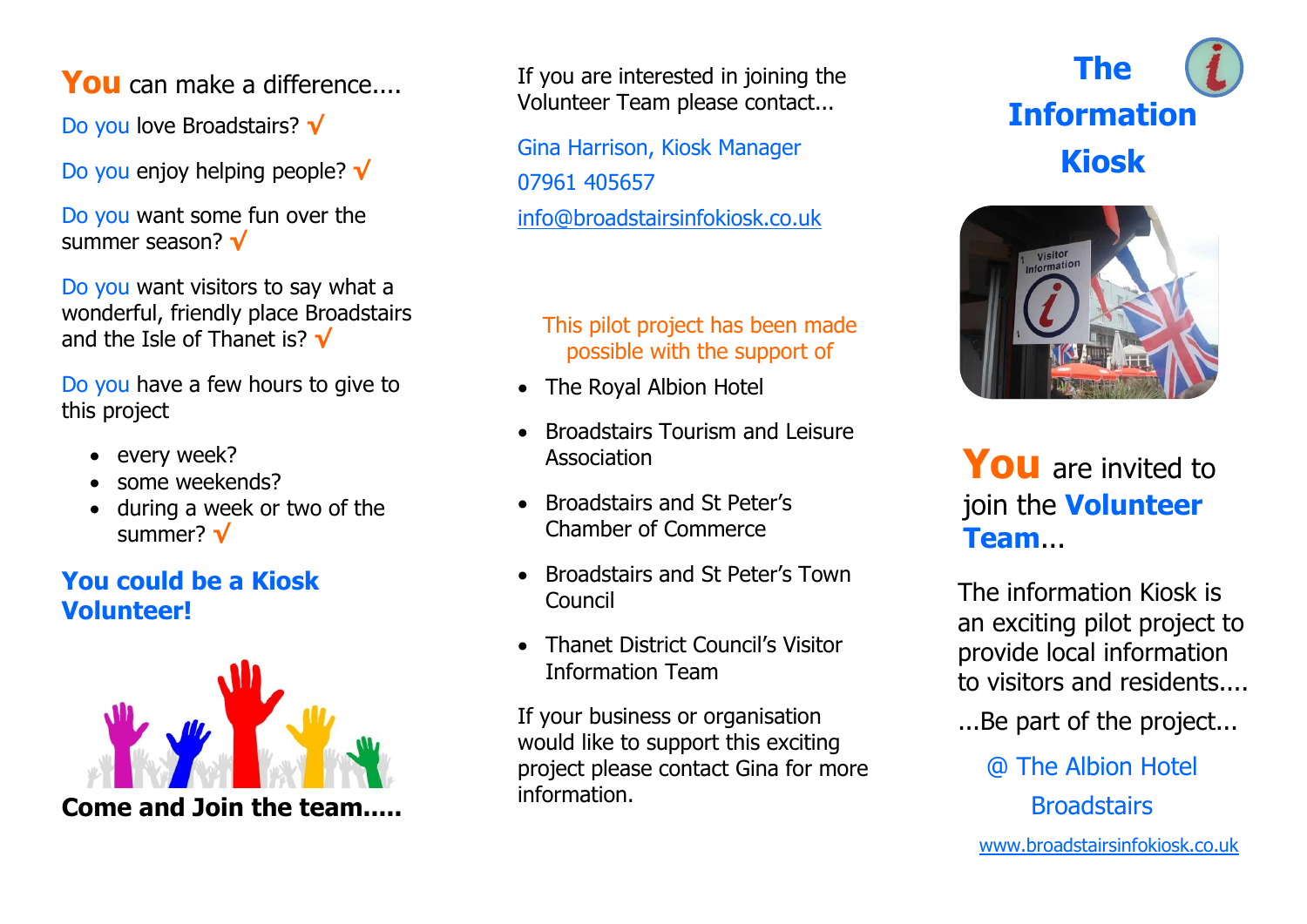**You** can make a difference....

Do you love Broadstairs? **√**

Do you enjoy helping people? **√**

Do you want some fun over the summer season? **√**

Do you want visitors to say what a wonderful, friendly place Broadstairs and the Isle of Thanet is? **√**

Do you have a few hours to give to this project

- every week?
- some weekends?
- during a week or two of the summer? **√**

## **You could be a Kiosk Volunteer!**



**Come and Join the team.....**

If you are interested in joining the Volunteer Team please contact...

Gina Harrison, Kiosk Manager 07961 405657 [info@broadstairsinfokiosk.co.uk](mailto:info@broadstairsinfokiosk.co.uk) 

#### This pilot project has been made possible with the support of

- The Royal Albion Hotel
- Broadstairs Tourism and Leisure Association
- Broadstairs and St Peter's Chamber of Commerce
- Broadstairs and St Peter's Town Council
- **Thanet District Council's Visitor** Information Team

If your business or organisation would like to support this exciting project please contact Gina for more information.





# **You** are invited to join the **Volunteer Team**...

The information Kiosk is an exciting pilot project to provide local information to visitors and residents....

...Be part of the project...

@ The Albion Hotel **Broadstairs** 

[www.broadstairsinfokiosk.co.uk](http://www.broadstairsinfokiosk.co.uk/)